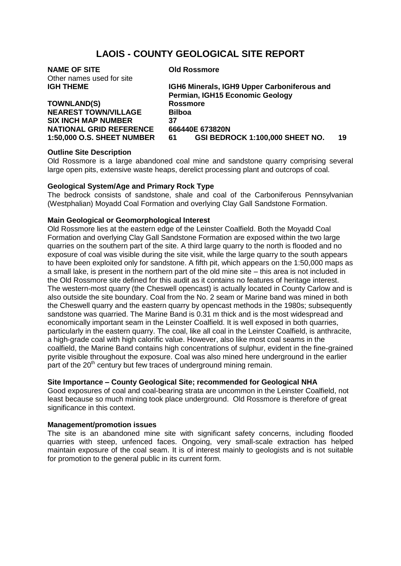# **LAOIS - COUNTY GEOLOGICAL SITE REPORT**

| <b>NAME OF SITE</b>               | <b>Old Rossmore</b>                         |    |
|-----------------------------------|---------------------------------------------|----|
| Other names used for site         |                                             |    |
| <b>IGH THEME</b>                  | IGH6 Minerals, IGH9 Upper Carboniferous and |    |
|                                   | Permian, IGH15 Economic Geology             |    |
| <b>TOWNLAND(S)</b>                | <b>Rossmore</b>                             |    |
| <b>NEAREST TOWN/VILLAGE</b>       | <b>Bilboa</b>                               |    |
| <b>SIX INCH MAP NUMBER</b>        | 37                                          |    |
| <b>NATIONAL GRID REFERENCE</b>    | 666440E 673820N                             |    |
| <b>1:50,000 O.S. SHEET NUMBER</b> | GSI BEDROCK 1:100,000 SHEET NO.<br>61       | 19 |
|                                   |                                             |    |

## **Outline Site Description**

Old Rossmore is a large abandoned coal mine and sandstone quarry comprising several large open pits, extensive waste heaps, derelict processing plant and outcrops of coal.

#### **Geological System/Age and Primary Rock Type**

The bedrock consists of sandstone, shale and coal of the Carboniferous Pennsylvanian (Westphalian) Moyadd Coal Formation and overlying Clay Gall Sandstone Formation.

## **Main Geological or Geomorphological Interest**

Old Rossmore lies at the eastern edge of the Leinster Coalfield. Both the Moyadd Coal Formation and overlying Clay Gall Sandstone Formation are exposed within the two large quarries on the southern part of the site. A third large quarry to the north is flooded and no exposure of coal was visible during the site visit, while the large quarry to the south appears to have been exploited only for sandstone. A fifth pit, which appears on the 1:50,000 maps as a small lake, is present in the northern part of the old mine site – this area is not included in the Old Rossmore site defined for this audit as it contains no features of heritage interest. The western-most quarry (the Cheswell opencast) is actually located in County Carlow and is also outside the site boundary. Coal from the No. 2 seam or Marine band was mined in both the Cheswell quarry and the eastern quarry by opencast methods in the 1980s; subsequently sandstone was quarried. The Marine Band is 0.31 m thick and is the most widespread and economically important seam in the Leinster Coalfield. It is well exposed in both quarries, particularly in the eastern quarry. The coal, like all coal in the Leinster Coalfield, is anthracite, a high-grade coal with high calorific value. However, also like most coal seams in the coalfield, the Marine Band contains high concentrations of sulphur, evident in the fine-grained pyrite visible throughout the exposure. Coal was also mined here underground in the earlier part of the  $20<sup>th</sup>$  century but few traces of underground mining remain.

# **Site Importance – County Geological Site; recommended for Geological NHA**

Good exposures of coal and coal-bearing strata are uncommon in the Leinster Coalfield, not least because so much mining took place underground. Old Rossmore is therefore of great significance in this context.

#### **Management/promotion issues**

The site is an abandoned mine site with significant safety concerns, including flooded quarries with steep, unfenced faces. Ongoing, very small-scale extraction has helped maintain exposure of the coal seam. It is of interest mainly to geologists and is not suitable for promotion to the general public in its current form.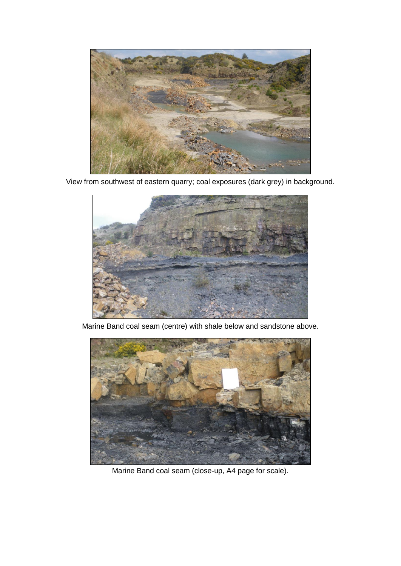

View from southwest of eastern quarry; coal exposures (dark grey) in background.



Marine Band coal seam (centre) with shale below and sandstone above.



Marine Band coal seam (close-up, A4 page for scale).